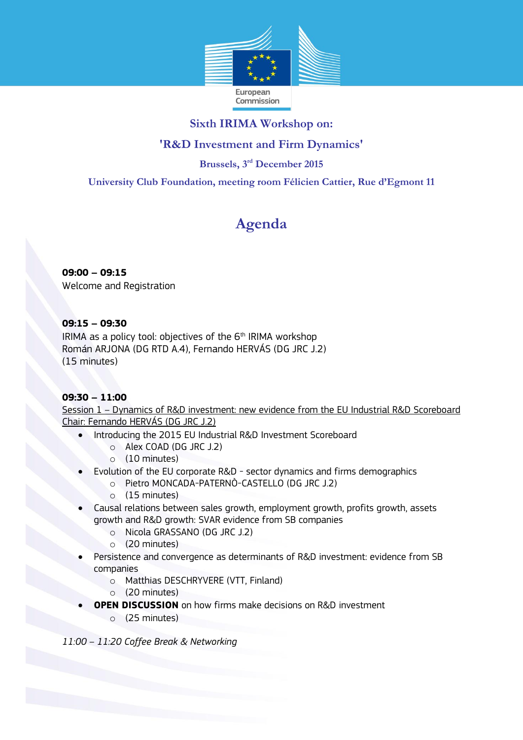

## **Sixth IRIMA Workshop on:**

## **'R&D Investment and Firm Dynamics'**

**Brussels, 3 rd December 2015**

**University Club Foundation, meeting room Félicien Cattier, Rue d'Egmont 11**

# **Agenda**

**09:00 – 09:15** Welcome and Registration

### **09:15 – 09:30**

IRIMA as a policy tool: objectives of the  $6<sup>th</sup>$  IRIMA workshop Román ARJONA (DG RTD A.4), Fernando HERVÁS (DG JRC J.2) (15 minutes)

### **09:30 – 11:00**

Session 1 – Dynamics of R&D investment: new evidence from the EU Industrial R&D Scoreboard Chair: Fernando HERVÁS (DG JRC J.2)

- Introducing the 2015 EU Industrial R&D Investment Scoreboard
	- o Alex COAD (DG JRC J.2)
	- o (10 minutes)
- Evolution of the EU corporate R&D sector dynamics and firms demographics
	- o Pietro MONCADA-PATERNÒ-CASTELLO (DG JRC J.2)
	- o (15 minutes)
- Causal relations between sales growth, employment growth, profits growth, assets growth and R&D growth: SVAR evidence from SB companies
	- o Nicola GRASSANO (DG JRC J.2)
	- o (20 minutes)
- Persistence and convergence as determinants of R&D investment: evidence from SB companies
	- o Matthias DESCHRYVERE (VTT, Finland)
	- o (20 minutes)
- **OPEN DISCUSSION** on how firms make decisions on R&D investment
	- o (25 minutes)

*11:00 – 11:20 Coffee Break & Networking*